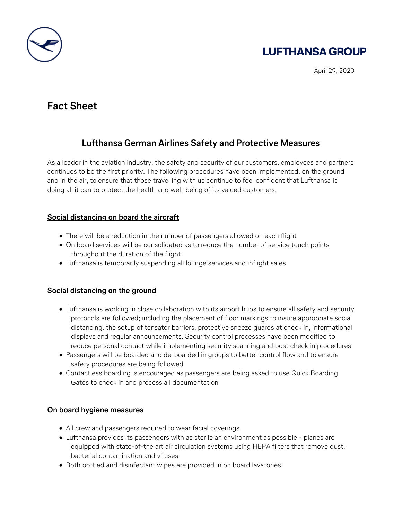

# **LUFTHANSA GROUP**

April 29, 2020

## **Fact Sheet**

### **Lufthansa German Airlines Safety and Protective Measures**

As a leader in the aviation industry, the safety and security of our customers, employees and partners continues to be the first priority. The following procedures have been implemented, on the ground and in the air, to ensure that those travelling with us continue to feel confident that Lufthansa is doing all it can to protect the health and well-being of its valued customers.

#### **Social distancing on board the aircraft**

- There will be a reduction in the number of passengers allowed on each flight
- On board services will be consolidated as to reduce the number of service touch points throughout the duration of the flight
- Lufthansa is temporarily suspending all lounge services and inflight sales

#### **Social distancing on the ground**

- Lufthansa is working in close collaboration with its airport hubs to ensure all safety and security protocols are followed; including the placement of floor markings to insure appropriate social distancing, the setup of tensator barriers, protective sneeze guards at check in, informational displays and regular announcements. Security control processes have been modified to reduce personal contact while implementing security scanning and post check in procedures
- Passengers will be boarded and de-boarded in groups to better control flow and to ensure safety procedures are being followed
- Contactless boarding is encouraged as passengers are being asked to use Quick Boarding Gates to check in and process all documentation

#### **On board hygiene measures**

- All crew and passengers required to wear facial coverings
- Lufthansa provides its passengers with as sterile an environment as possible planes are equipped with state-of-the art air circulation systems using HEPA filters that remove dust, bacterial contamination and viruses
- Both bottled and disinfectant wipes are provided in on board lavatories